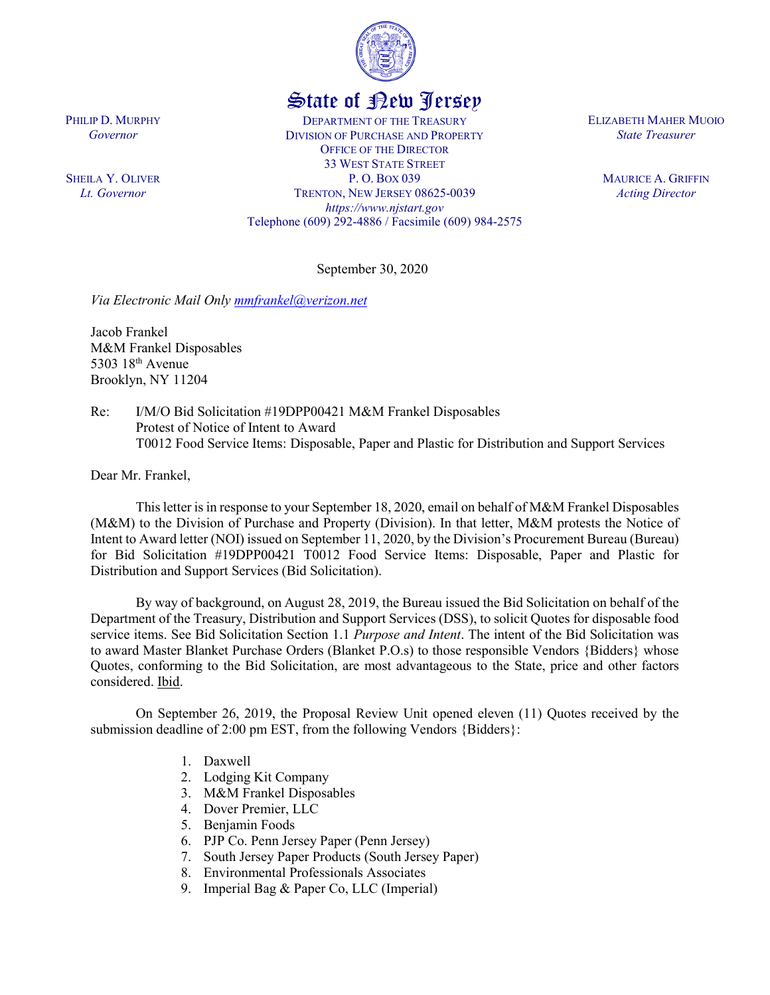

## State of New Jersey

DEPARTMENT OF THE TREASURY DIVISION OF PURCHASE AND PROPERTY OFFICE OF THE DIRECTOR 33 WEST STATE STREET P. O. BOX 039 TRENTON, NEW JERSEY 08625-0039 *https://www.njstart.gov* Telephone (609) 292-4886 / Facsimile (609) 984-2575 ELIZABETH MAHER MUOIO *State Treasurer*

> MAURICE A. GRIFFIN *Acting Director*

September 30, 2020

*Via Electronic Mail Only [mmfrankel@verizon.net](mailto:mmfrankel@verizon.net)*

Jacob Frankel M&M Frankel Disposables 5303 18th Avenue Brooklyn, NY 11204

Re: I/M/O Bid Solicitation #19DPP00421 M&M Frankel Disposables Protest of Notice of Intent to Award T0012 Food Service Items: Disposable, Paper and Plastic for Distribution and Support Services

Dear Mr. Frankel,

This letter is in response to your September 18, 2020, email on behalf of M&M Frankel Disposables (M&M) to the Division of Purchase and Property (Division). In that letter, M&M protests the Notice of Intent to Award letter (NOI) issued on September 11, 2020, by the Division's Procurement Bureau (Bureau) for Bid Solicitation #19DPP00421 T0012 Food Service Items: Disposable, Paper and Plastic for Distribution and Support Services (Bid Solicitation).

By way of background, on August 28, 2019, the Bureau issued the Bid Solicitation on behalf of the Department of the Treasury, Distribution and Support Services (DSS), to solicit Quotes for disposable food service items. See Bid Solicitation Section 1.1 *Purpose and Intent*. The intent of the Bid Solicitation was to award Master Blanket Purchase Orders (Blanket P.O.s) to those responsible Vendors {Bidders} whose Quotes, conforming to the Bid Solicitation, are most advantageous to the State, price and other factors considered. Ibid.

On September 26, 2019, the Proposal Review Unit opened eleven (11) Quotes received by the submission deadline of 2:00 pm EST, from the following Vendors {Bidders}:

- 1. Daxwell
- 2. Lodging Kit Company
- 3. M&M Frankel Disposables
- 4. Dover Premier, LLC
- 5. Benjamin Foods
- 6. PJP Co. Penn Jersey Paper (Penn Jersey)
- 7. South Jersey Paper Products (South Jersey Paper)
- 8. Environmental Professionals Associates
- 9. Imperial Bag & Paper Co, LLC (Imperial)

PHILIP D. MURPHY *Governor*

SHEILA Y. OLIVER *Lt. Governor*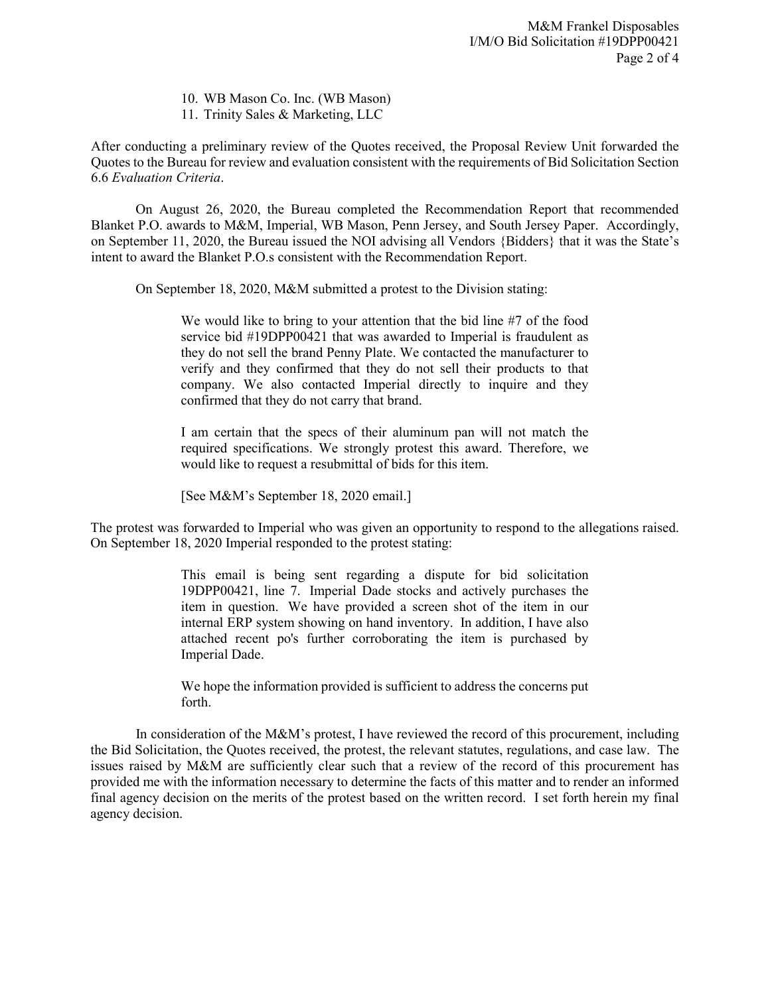10. WB Mason Co. Inc. (WB Mason)

11. Trinity Sales & Marketing, LLC

After conducting a preliminary review of the Quotes received, the Proposal Review Unit forwarded the Quotes to the Bureau for review and evaluation consistent with the requirements of Bid Solicitation Section 6.6 *Evaluation Criteria*.

On August 26, 2020, the Bureau completed the Recommendation Report that recommended Blanket P.O. awards to M&M, Imperial, WB Mason, Penn Jersey, and South Jersey Paper. Accordingly, on September 11, 2020, the Bureau issued the NOI advising all Vendors {Bidders} that it was the State's intent to award the Blanket P.O.s consistent with the Recommendation Report.

On September 18, 2020, M&M submitted a protest to the Division stating:

We would like to bring to your attention that the bid line #7 of the food service bid #19DPP00421 that was awarded to Imperial is fraudulent as they do not sell the brand Penny Plate. We contacted the manufacturer to verify and they confirmed that they do not sell their products to that company. We also contacted Imperial directly to inquire and they confirmed that they do not carry that brand.

I am certain that the specs of their aluminum pan will not match the required specifications. We strongly protest this award. Therefore, we would like to request a resubmittal of bids for this item.

[See M&M's September 18, 2020 email.]

The protest was forwarded to Imperial who was given an opportunity to respond to the allegations raised. On September 18, 2020 Imperial responded to the protest stating:

> This email is being sent regarding a dispute for bid solicitation 19DPP00421, line 7. Imperial Dade stocks and actively purchases the item in question. We have provided a screen shot of the item in our internal ERP system showing on hand inventory. In addition, I have also attached recent po's further corroborating the item is purchased by Imperial Dade.

> We hope the information provided is sufficient to address the concerns put forth.

In consideration of the M&M's protest, I have reviewed the record of this procurement, including the Bid Solicitation, the Quotes received, the protest, the relevant statutes, regulations, and case law. The issues raised by M&M are sufficiently clear such that a review of the record of this procurement has provided me with the information necessary to determine the facts of this matter and to render an informed final agency decision on the merits of the protest based on the written record. I set forth herein my final agency decision.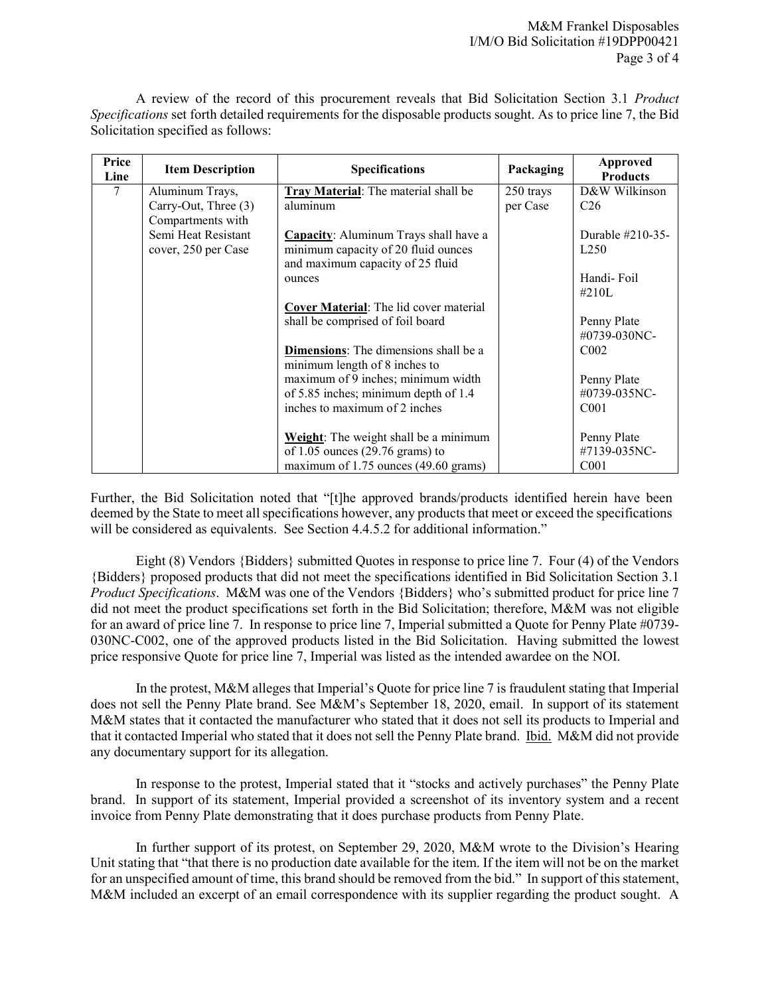A review of the record of this procurement reveals that Bid Solicitation Section 3.1 *Product Specifications* set forth detailed requirements for the disposable products sought. As to price line 7, the Bid Solicitation specified as follows:

| Price<br>Line | <b>Item Description</b> | <b>Specifications</b>                       | Packaging | <b>Approved</b><br><b>Products</b> |
|---------------|-------------------------|---------------------------------------------|-----------|------------------------------------|
| 7             | Aluminum Trays,         | Tray Material: The material shall be        | 250 trays | D&W Wilkinson                      |
|               | Carry-Out, Three (3)    | aluminum                                    | per Case  | C <sub>26</sub>                    |
|               | Compartments with       |                                             |           |                                    |
|               | Semi Heat Resistant     | Capacity: Aluminum Trays shall have a       |           | Durable $\#210-35-$                |
|               | cover, 250 per Case     | minimum capacity of 20 fluid ounces         |           | L <sub>250</sub>                   |
|               |                         | and maximum capacity of 25 fluid            |           |                                    |
|               |                         | ounces                                      |           | Handi-Foil                         |
|               |                         |                                             |           | $\#210L$                           |
|               |                         | Cover Material: The lid cover material      |           |                                    |
|               |                         | shall be comprised of foil board            |           | Penny Plate                        |
|               |                         |                                             |           | #0739-030NC-                       |
|               |                         | Dimensions: The dimensions shall be a       |           | C <sub>002</sub>                   |
|               |                         | minimum length of 8 inches to               |           |                                    |
|               |                         | maximum of 9 inches; minimum width          |           | Penny Plate                        |
|               |                         | of 5.85 inches; minimum depth of 1.4        |           | #0739-035NC-                       |
|               |                         | inches to maximum of 2 inches               |           | CO <sub>01</sub>                   |
|               |                         | Weight: The weight shall be a minimum       |           | Penny Plate                        |
|               |                         | of $1.05$ ounces $(29.76 \text{ grams})$ to |           | #7139-035NC-                       |
|               |                         | maximum of 1.75 ounces (49.60 grams)        |           | C <sub>001</sub>                   |

Further, the Bid Solicitation noted that "[t]he approved brands/products identified herein have been deemed by the State to meet all specifications however, any products that meet or exceed the specifications will be considered as equivalents. See Section 4.4.5.2 for additional information."

Eight (8) Vendors {Bidders} submitted Quotes in response to price line 7. Four (4) of the Vendors {Bidders} proposed products that did not meet the specifications identified in Bid Solicitation Section 3.1 *Product Specifications*. M&M was one of the Vendors {Bidders} who's submitted product for price line 7 did not meet the product specifications set forth in the Bid Solicitation; therefore, M&M was not eligible for an award of price line 7. In response to price line 7, Imperial submitted a Quote for Penny Plate #0739- 030NC-C002, one of the approved products listed in the Bid Solicitation. Having submitted the lowest price responsive Quote for price line 7, Imperial was listed as the intended awardee on the NOI.

In the protest, M&M alleges that Imperial's Quote for price line 7 is fraudulent stating that Imperial does not sell the Penny Plate brand. See M&M's September 18, 2020, email. In support of its statement M&M states that it contacted the manufacturer who stated that it does not sell its products to Imperial and that it contacted Imperial who stated that it does not sell the Penny Plate brand. Ibid. M&M did not provide any documentary support for its allegation.

In response to the protest, Imperial stated that it "stocks and actively purchases" the Penny Plate brand. In support of its statement, Imperial provided a screenshot of its inventory system and a recent invoice from Penny Plate demonstrating that it does purchase products from Penny Plate.

In further support of its protest, on September 29, 2020, M&M wrote to the Division's Hearing Unit stating that "that there is no production date available for the item. If the item will not be on the market for an unspecified amount of time, this brand should be removed from the bid." In support of this statement, M&M included an excerpt of an email correspondence with its supplier regarding the product sought. A